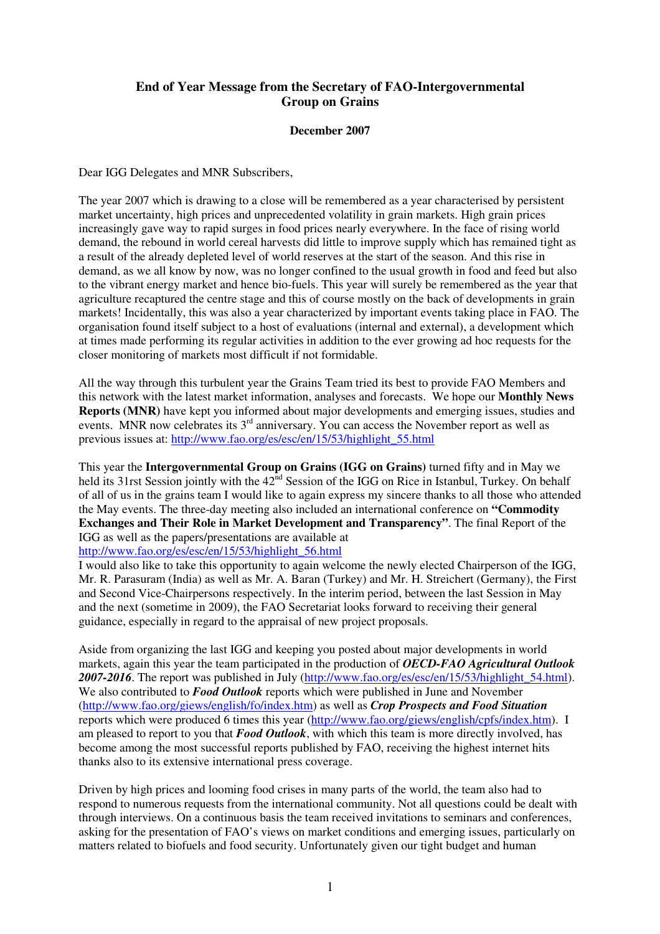## **End of Year Message from the Secretary of FAO-Intergovernmental Group on Grains**

## **December 2007**

Dear IGG Delegates and MNR Subscribers,

The year 2007 which is drawing to a close will be remembered as a year characterised by persistent market uncertainty, high prices and unprecedented volatility in grain markets. High grain prices increasingly gave way to rapid surges in food prices nearly everywhere. In the face of rising world demand, the rebound in world cereal harvests did little to improve supply which has remained tight as a result of the already depleted level of world reserves at the start of the season. And this rise in demand, as we all know by now, was no longer confined to the usual growth in food and feed but also to the vibrant energy market and hence bio-fuels. This year will surely be remembered as the year that agriculture recaptured the centre stage and this of course mostly on the back of developments in grain markets! Incidentally, this was also a year characterized by important events taking place in FAO. The organisation found itself subject to a host of evaluations (internal and external), a development which at times made performing its regular activities in addition to the ever growing ad hoc requests for the closer monitoring of markets most difficult if not formidable.

All the way through this turbulent year the Grains Team tried its best to provide FAO Members and this network with the latest market information, analyses and forecasts. We hope our **Monthly News Reports (MNR)** have kept you informed about major developments and emerging issues, studies and events. MNR now celebrates its 3<sup>rd</sup> anniversary. You can access the November report as well as previous issues at: http://www.fao.org/es/esc/en/15/53/highlight\_55.html

This year the **Intergovernmental Group on Grains (IGG on Grains)** turned fifty and in May we held its 31rst Session jointly with the 42<sup>nd</sup> Session of the IGG on Rice in Istanbul, Turkey. On behalf of all of us in the grains team I would like to again express my sincere thanks to all those who attended the May events. The three-day meeting also included an international conference on **"Commodity Exchanges and Their Role in Market Development and Transparency"**. The final Report of the IGG as well as the papers/presentations are available at

## http://www.fao.org/es/esc/en/15/53/highlight\_56.html

I would also like to take this opportunity to again welcome the newly elected Chairperson of the IGG, Mr. R. Parasuram (India) as well as Mr. A. Baran (Turkey) and Mr. H. Streichert (Germany), the First and Second Vice-Chairpersons respectively. In the interim period, between the last Session in May and the next (sometime in 2009), the FAO Secretariat looks forward to receiving their general guidance, especially in regard to the appraisal of new project proposals.

Aside from organizing the last IGG and keeping you posted about major developments in world markets, again this year the team participated in the production of *OECD-FAO Agricultural Outlook 2007-2016*. The report was published in July (http://www.fao.org/es/esc/en/15/53/highlight\_54.html). We also contributed to **Food Outlook** reports which were published in June and November (http://www.fao.org/giews/english/fo/index.htm) as well as *Crop Prospects and Food Situation* reports which were produced 6 times this year (http://www.fao.org/giews/english/cpfs/index.htm). I am pleased to report to you that *Food Outlook*, with which this team is more directly involved, has become among the most successful reports published by FAO, receiving the highest internet hits thanks also to its extensive international press coverage.

Driven by high prices and looming food crises in many parts of the world, the team also had to respond to numerous requests from the international community. Not all questions could be dealt with through interviews. On a continuous basis the team received invitations to seminars and conferences, asking for the presentation of FAO's views on market conditions and emerging issues, particularly on matters related to biofuels and food security. Unfortunately given our tight budget and human